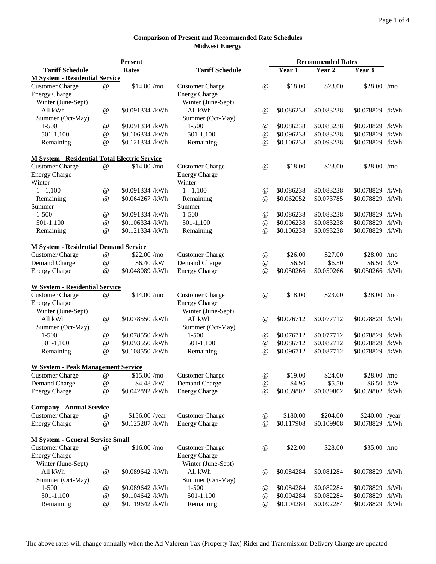|                                                      | <b>Present</b>    |                 |                        | <b>Recommended Rates</b> |            |            |                 |      |
|------------------------------------------------------|-------------------|-----------------|------------------------|--------------------------|------------|------------|-----------------|------|
| <b>Tariff Schedule</b>                               |                   | <b>Rates</b>    | <b>Tariff Schedule</b> |                          | Year 1     | Year 2     | Year 3          |      |
| <b>M System - Residential Service</b>                |                   |                 |                        |                          |            |            |                 |      |
| <b>Customer Charge</b>                               | $^{\copyright}$   | \$14.00/mo      | <b>Customer Charge</b> | @                        | \$18.00    | \$23.00    | $$28.00$ /mo    |      |
| <b>Energy Charge</b>                                 |                   |                 | <b>Energy Charge</b>   |                          |            |            |                 |      |
| Winter (June-Sept)                                   |                   |                 | Winter (June-Sept)     |                          |            |            |                 |      |
| All kWh                                              | @                 | \$0.091334 /kWh | All kWh                | $\omega$                 | \$0.086238 | \$0.083238 | \$0.078829 /kWh |      |
| Summer (Oct-May)                                     |                   |                 | Summer (Oct-May)       |                          |            |            |                 |      |
| $1 - 500$                                            | $\omega$          | \$0.091334 /kWh | $1 - 500$              | $^{\copyright}$          | \$0.086238 | \$0.083238 | \$0.078829      | /kWh |
| $501-1,100$                                          | $\omega$          | \$0.106334 /kWh | $501-1,100$            | $^{\copyright}$          | \$0.096238 | \$0.083238 | \$0.078829      | /kWh |
| Remaining                                            | $\omega$          | \$0.121334 /kWh | Remaining              | $\omega$                 | \$0.106238 | \$0.093238 | \$0.078829 /kWh |      |
| <b>M System - Residential Total Electric Service</b> |                   |                 |                        |                          |            |            |                 |      |
| <b>Customer Charge</b>                               | $\omega$          | \$14.00/mo      | <b>Customer Charge</b> | @                        | \$18.00    | \$23.00    | $$28.00$ /mo    |      |
| <b>Energy Charge</b>                                 |                   |                 | <b>Energy Charge</b>   |                          |            |            |                 |      |
| Winter                                               |                   |                 | Winter                 |                          |            |            |                 |      |
| $1 - 1,100$                                          | $^{\, \circledR}$ | \$0.091334 /kWh | $1 - 1,100$            | $^{\copyright}$          | \$0.086238 | \$0.083238 | \$0.078829      | /kWh |
| Remaining                                            | @                 | \$0.064267 /kWh | Remaining              | $\omega$                 | \$0.062052 | \$0.073785 | \$0.078829 /kWh |      |
| Summer                                               |                   |                 | Summer                 |                          |            |            |                 |      |
| $1 - 500$                                            | $\omega$          | \$0.091334 /kWh | $1 - 500$              | @                        | \$0.086238 | \$0.083238 | \$0.078829      | /kWh |
| $501-1,100$                                          | $\omega$          | \$0.106334 /kWh | 501-1,100              | @                        | \$0.096238 | \$0.083238 | \$0.078829      | /kWh |
| Remaining                                            | $\omega$          | \$0.121334 /kWh | Remaining              | $\omega$                 | \$0.106238 | \$0.093238 | \$0.078829 /kWh |      |
| <b>M System - Residential Demand Service</b>         |                   |                 |                        |                          |            |            |                 |      |
| <b>Customer Charge</b>                               | $\omega$          | \$22.00/mo      | <b>Customer Charge</b> | $^{\circledR}$           | \$26.00    | \$27.00    | $$28.00$ /mo    |      |
| Demand Charge                                        | @                 | \$6.40 /kW      | Demand Charge          | @                        | \$6.50     | \$6.50     | \$6.50 /kW      |      |
| <b>Energy Charge</b>                                 | @                 | \$0.048089 /kWh | <b>Energy Charge</b>   | @                        | \$0.050266 | \$0.050266 | \$0.050266 /kWh |      |
| <b>W System - Residential Service</b>                |                   |                 |                        |                          |            |            |                 |      |
| <b>Customer Charge</b>                               | $\omega$          | \$14.00/mo      | <b>Customer Charge</b> | $\omega$                 | \$18.00    | \$23.00    | $$28.00$ /mo    |      |
| <b>Energy Charge</b>                                 |                   |                 | <b>Energy Charge</b>   |                          |            |            |                 |      |
| Winter (June-Sept)                                   |                   |                 | Winter (June-Sept)     |                          |            |            |                 |      |
| All kWh                                              | $\omega$          | \$0.078550 /kWh | All kWh                | $\omega$                 | \$0.076712 | \$0.077712 | \$0.078829      | /kWh |
| Summer (Oct-May)                                     |                   |                 | Summer (Oct-May)       |                          |            |            |                 |      |
| $1 - 500$                                            | $^{\copyright}$   | \$0.078550 /kWh | $1 - 500$              | $^{\circledR}$           | \$0.076712 | \$0.077712 | \$0.078829 /kWh |      |
| $501-1,100$                                          | $\omega$          | \$0.093550 /kWh | $501-1,100$            | @                        | \$0.086712 | \$0.082712 | \$0.078829      | /kWh |
| Remaining                                            | $\omega$          | \$0.108550 /kWh | Remaining              | $\omega$                 | \$0.096712 | \$0.087712 | \$0.078829 /kWh |      |
| <b>W System - Peak Management Service</b>            |                   |                 |                        |                          |            |            |                 |      |
| <b>Customer Charge</b>                               | $^{\copyright}$   | \$15.00/mo      | <b>Customer Charge</b> | $^{\textregistered}$     | \$19.00    | \$24.00    | $$28.00$ /mo    |      |
| Demand Charge                                        | @                 | \$4.48 /kW      | Demand Charge          | @                        | \$4.95     | \$5.50     | \$6.50 /kW      |      |
| <b>Energy Charge</b>                                 | @                 | \$0.042892 /kWh | <b>Energy Charge</b>   | @                        | \$0.039802 | \$0.039802 | \$0.039802 /kWh |      |
| <b>Company - Annual Service</b>                      |                   |                 |                        |                          |            |            |                 |      |
| <b>Customer Charge</b>                               | $^{\copyright}$   | \$156.00 /year  | <b>Customer Charge</b> | $^{\textregistered}$     | \$180.00   | \$204.00   | $$240.00$ /year |      |
| <b>Energy Charge</b>                                 | @                 | \$0.125207 /kWh | <b>Energy Charge</b>   | $\omega$                 | \$0.117908 | \$0.109908 | \$0.078829 /kWh |      |
| <b>M System - General Service Small</b>              |                   |                 |                        |                          |            |            |                 |      |
| <b>Customer Charge</b>                               | $\omega$          | \$16.00/mo      | <b>Customer Charge</b> | @                        | \$22.00    | \$28.00    | $$35.00$ /mo    |      |
| <b>Energy Charge</b>                                 |                   |                 | <b>Energy Charge</b>   |                          |            |            |                 |      |
| Winter (June-Sept)                                   |                   |                 | Winter (June-Sept)     |                          |            |            |                 |      |
| All kWh                                              | $\omega$          | \$0.089642 /kWh | All kWh                | $^{\copyright}$          | \$0.084284 | \$0.081284 | \$0.078829 /kWh |      |
| Summer (Oct-May)                                     |                   |                 | Summer (Oct-May)       |                          |            |            |                 |      |
| $1 - 500$                                            | $^{\circledR}$    | \$0.089642 /kWh | $1 - 500$              | $^{\copyright}$          | \$0.084284 | \$0.082284 | \$0.078829      | /kWh |
| $501-1,100$                                          | $\omega$          | \$0.104642 /kWh | $501-1,100$            | $^{\circledR}$           | \$0.094284 | \$0.082284 | \$0.078829      | /kWh |
| Remaining                                            | $\omega$          | \$0.119642 /kWh | Remaining              | $\omega$                 | \$0.104284 | \$0.092284 | \$0.078829 /kWh |      |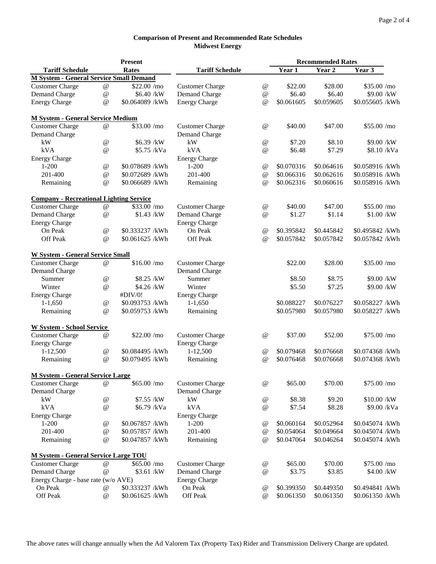|                                                |                           | <b>Present</b>  |                        |                           | <b>Recommended Rates</b> |            |                 |  |
|------------------------------------------------|---------------------------|-----------------|------------------------|---------------------------|--------------------------|------------|-----------------|--|
| <b>Tariff Schedule</b>                         |                           | <b>Rates</b>    | <b>Tariff Schedule</b> |                           | Year 1                   | Year 2     | Year 3          |  |
| <b>M System - General Service Small Demand</b> |                           |                 |                        |                           |                          |            |                 |  |
| <b>Customer Charge</b>                         | @                         | \$22.00 /mo     | <b>Customer Charge</b> | @                         | \$22.00                  | \$28.00    | \$35.00 /mo     |  |
| <b>Demand Charge</b>                           | @                         | \$6.40 /kW      | <b>Demand Charge</b>   | @                         | \$6.40                   | \$6.40     | \$9.00 /kW      |  |
| <b>Energy Charge</b>                           | @                         | \$0.064089 /kWh | <b>Energy Charge</b>   | $\omega$                  | \$0.061605               | \$0.059605 | \$0.055605 /kWh |  |
| <b>M System - General Service Medium</b>       |                           |                 |                        |                           |                          |            |                 |  |
| <b>Customer Charge</b>                         | $^{\copyright}$           | \$33.00 /mo     | <b>Customer Charge</b> | @                         | \$40.00                  | \$47.00    | \$55.00/mo      |  |
| <b>Demand Charge</b>                           |                           |                 | Demand Charge          |                           |                          |            |                 |  |
| kW                                             | @                         | \$6.39 /kW      | kW                     | @                         | \$7.20                   | \$8.10     | \$9.00 /kW      |  |
| kVA                                            | @                         | \$5.75 /kVa     | <b>kVA</b>             | @                         | \$6.48                   | \$7.29     | \$8.10 /kVa     |  |
| <b>Energy Charge</b>                           |                           |                 | <b>Energy Charge</b>   |                           |                          |            |                 |  |
| $1 - 200$                                      | @                         | \$0.078689 /kWh | $1 - 200$              | $^{\circledR}$            | \$0.070316               | \$0.064616 | \$0.058916 /kWh |  |
| 201-400                                        | $^\text{\textregistered}$ | \$0.072689 /kWh | 201-400                | $^\text{\textregistered}$ | \$0.066316               | \$0.062616 | \$0.058916 /kWh |  |
| Remaining                                      | $\omega$                  | \$0.066689 /kWh | Remaining              | $\omega$                  | \$0.062316               | \$0.060616 | \$0.058916 /kWh |  |
| <b>Company - Recreational Lighting Service</b> |                           |                 |                        |                           |                          |            |                 |  |
| <b>Customer Charge</b>                         | $\omega$                  | \$33.00 /mo     | <b>Customer Charge</b> | @                         | \$40.00                  | \$47.00    | \$55.00 /mo     |  |
| <b>Demand Charge</b>                           | $\omega$                  | \$1.43 /kW      | Demand Charge          | $\omega$                  | \$1.27                   | \$1.14     | \$1.00 /kW      |  |
| <b>Energy Charge</b>                           |                           |                 | <b>Energy Charge</b>   |                           |                          |            |                 |  |
| On Peak                                        | $\omega$                  | \$0.333237 /kWh | On Peak                | $^{\textregistered}$      | \$0.395842               | \$0.445842 | \$0.495842 /kWh |  |
| Off Peak                                       | $\omega$                  | \$0.061625 /kWh | Off Peak               | @                         | \$0.057842               | \$0.057842 | \$0.057842 /kWh |  |
| <b>W System - General Service Small</b>        |                           |                 |                        |                           |                          |            |                 |  |
| <b>Customer Charge</b>                         | @                         | \$16.00/mo      | <b>Customer Charge</b> |                           | \$22.00                  | \$28.00    | \$35.00 /mo     |  |
| <b>Demand Charge</b>                           |                           |                 | <b>Demand Charge</b>   |                           |                          |            |                 |  |
| Summer                                         | @                         | \$8.25 /kW      | Summer                 |                           | \$8.50                   | \$8.75     | \$9.00 /kW      |  |
| Winter                                         | @                         | \$4.26 /kW      | Winter                 |                           | \$5.50                   | \$7.25     | \$9.00 /kW      |  |
| <b>Energy Charge</b>                           |                           | #DIV/0!         | <b>Energy Charge</b>   |                           |                          |            |                 |  |
| $1-1,650$                                      | $^{\circledR}$            | \$0.093753 /kWh | $1-1,650$              |                           | \$0.088227               | \$0.076227 | \$0.058227 /kWh |  |
| Remaining                                      | @                         | \$0.059753 /kWh | Remaining              |                           | \$0.057980               | \$0.057980 | \$0.058227 /kWh |  |
| <b>W System - School Service</b>               |                           |                 |                        |                           |                          |            |                 |  |
| <b>Customer Charge</b>                         | $\omega$                  | \$22.00 /mo     | <b>Customer Charge</b> | $^{\circledR}$            | \$37.00                  | \$52.00    | \$75.00 /mo     |  |
| <b>Energy Charge</b>                           |                           |                 | <b>Energy Charge</b>   |                           |                          |            |                 |  |
| 1-12,500                                       | @                         | \$0.084495 /kWh | $1-12,500$             | $^{\circledR}$            | \$0.079468               | \$0.076668 | \$0.074368 /kWh |  |
| Remaining                                      | $\omega$                  | \$0.079495 /kWh | Remaining              | $\omega$                  | \$0.076468               | \$0.076668 | \$0.074368 /kWh |  |
| <b>M System - General Service Large</b>        |                           |                 |                        |                           |                          |            |                 |  |
| <b>Customer Charge</b>                         | $^{\copyright}$           | \$65.00/mo      | <b>Customer Charge</b> | @                         | \$65.00                  | \$70.00    | \$75.00/mo      |  |
| <b>Demand Charge</b>                           |                           |                 | Demand Charge          |                           |                          |            |                 |  |
| kW                                             | @                         | \$7.55 /kW      | kW                     | $^{\textregistered}$      | \$8.38                   | \$9.20     | \$10.00 /kW     |  |
| kVA                                            | @                         | \$6.79 /kVa     | kVA                    | @                         | \$7.54                   | \$8.28     | \$9.00 /kVa     |  |
| <b>Energy Charge</b>                           |                           |                 | <b>Energy Charge</b>   |                           |                          |            |                 |  |
| $1 - 200$                                      | @                         | \$0.067857 /kWh | $1 - 200$              | $^{\circledR}$            | \$0.060164               | \$0.052964 | \$0.045074 /kWh |  |
| 201-400                                        | $\omega$                  | \$0.057857 /kWh | 201-400                | @                         | \$0.054064               | \$0.049664 | \$0.045074 /kWh |  |
| Remaining                                      | @                         | \$0.047857 /kWh | Remaining              | $\omega$                  | \$0.047064               | \$0.046264 | \$0.045074 /kWh |  |
| <b>M System - General Service Large TOU</b>    |                           |                 |                        |                           |                          |            |                 |  |
| <b>Customer Charge</b>                         | @                         | \$65.00/mo      | <b>Customer Charge</b> | $^{\copyright}$           | \$65.00                  | \$70.00    | \$75.00/mo      |  |
| Demand Charge                                  | $^{\circledR}$            | \$3.61 /kW      | Demand Charge          | @                         | \$3.75                   | \$3.85     | \$4.00 /kW      |  |
| Energy Charge - base rate (w/o AVE)            |                           |                 | <b>Energy Charge</b>   |                           |                          |            |                 |  |
| On Peak                                        | $^{\copyright}$           | \$0.333237 /kWh | On Peak                | $^{\circledR}$            | \$0.399350               | \$0.449350 | \$0.494841 /kWh |  |
| Off Peak                                       | $^{\copyright}$           | \$0.061625 /kWh | <b>Off Peak</b>        | $\omega$                  | \$0.061350               | \$0.061350 | \$0.061350 /kWh |  |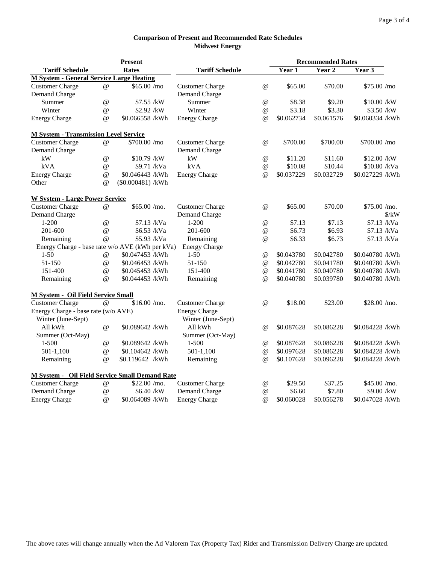|                                                 | <b>Present</b>            |                     |                        |                                 | <b>Recommended Rates</b> |            |                             |  |  |
|-------------------------------------------------|---------------------------|---------------------|------------------------|---------------------------------|--------------------------|------------|-----------------------------|--|--|
| <b>Tariff Schedule</b>                          |                           | <b>Rates</b>        | <b>Tariff Schedule</b> |                                 | Year 1                   | Year 2     | Year 3                      |  |  |
| <b>M System - General Service Large Heating</b> |                           |                     |                        |                                 |                          |            |                             |  |  |
| <b>Customer Charge</b>                          | @                         | \$65.00/mo          | <b>Customer Charge</b> | @                               | \$65.00                  | \$70.00    | \$75.00/mo                  |  |  |
| Demand Charge                                   |                           |                     | Demand Charge          |                                 |                          |            |                             |  |  |
| Summer                                          | @                         | \$7.55 /kW          | Summer                 | @                               | \$8.38                   | \$9.20     | \$10.00 /kW                 |  |  |
| Winter                                          | @                         | \$2.92 /kW          | Winter                 | @                               | \$3.18                   | \$3.30     | \$3.50 /kW                  |  |  |
| <b>Energy Charge</b>                            | $\omega$                  | \$0.066558 /kWh     | <b>Energy Charge</b>   | $\omega$                        | \$0.062734               | \$0.061576 | \$0.060334 /kWh             |  |  |
| <b>M System - Transmission Level Service</b>    |                           |                     |                        |                                 |                          |            |                             |  |  |
| <b>Customer Charge</b>                          | @                         | \$700.00 /mo        | <b>Customer Charge</b> | $\omega$                        | \$700.00                 | \$700.00   | \$700.00 /mo                |  |  |
| Demand Charge                                   |                           |                     | Demand Charge          |                                 |                          |            |                             |  |  |
| kW                                              | @                         | \$10.79 /kW         | kW                     | @                               | \$11.20                  | \$11.60    | \$12.00 /kW                 |  |  |
| kVA                                             | $^\text{\textregistered}$ | \$9.71 /kVa         | kVA                    | @                               | \$10.08                  | \$10.44    | \$10.80 /kVa                |  |  |
| <b>Energy Charge</b>                            | @                         | \$0.046443 /kWh     | <b>Energy Charge</b>   | @                               | \$0.037229               | \$0.032729 | \$0.027229 /kWh             |  |  |
| Other                                           | @                         | $(\$0.000481)$ /kWh |                        |                                 |                          |            |                             |  |  |
| <b>W System - Large Power Service</b>           |                           |                     |                        |                                 |                          |            |                             |  |  |
| <b>Customer Charge</b>                          | $\omega$                  | \$65.00/m0.         | <b>Customer Charge</b> | $^{\,a}$                        | \$65.00                  | \$70.00    | \$75.00/mo.                 |  |  |
| Demand Charge                                   |                           |                     | Demand Charge          |                                 |                          |            | $\frac{\text{S}}{\text{K}}$ |  |  |
| $1 - 200$                                       | @                         | \$7.13 /kVa         | $1 - 200$              | $^{\circledR}$                  | \$7.13                   | \$7.13     | \$7.13 /kVa                 |  |  |
| 201-600                                         | @                         | \$6.53 /kVa         | 201-600                | @                               | \$6.73                   | \$6.93     | \$7.13 /kVa                 |  |  |
| Remaining                                       | $\omega$                  | \$5.93 /kVa         | Remaining              | $\omega$                        | \$6.33                   | \$6.73     | \$7.13 /kVa                 |  |  |
| Energy Charge - base rate w/o AVE (kWh per kVa) |                           |                     | <b>Energy Charge</b>   |                                 |                          |            |                             |  |  |
| $1 - 50$                                        | $^{\circledR}$            | \$0.047453 /kWh     | $1 - 50$               | @                               | \$0.043780               | \$0.042780 | \$0.040780 /kWh             |  |  |
| 51-150                                          | @                         | \$0.046453 /kWh     | 51-150                 | @                               | \$0.042780               | \$0.041780 | \$0.040780 /kWh             |  |  |
| 151-400                                         | @                         | \$0.045453 /kWh     | 151-400                | @                               | \$0.041780               | \$0.040780 | \$0.040780 /kWh             |  |  |
| Remaining                                       | $\omega$                  | \$0.044453 /kWh     | Remaining              | $\omega$                        | \$0.040780               | \$0.039780 | \$0.040780 /kWh             |  |  |
| <b>M System - Oil Field Service Small</b>       |                           |                     |                        |                                 |                          |            |                             |  |  |
| <b>Customer Charge</b>                          | $\omega$                  | \$16.00/mo.         | <b>Customer Charge</b> | $\omega$                        | \$18.00                  | \$23.00    | \$28.00/mo.                 |  |  |
| Energy Charge - base rate (w/o AVE)             |                           |                     | <b>Energy Charge</b>   |                                 |                          |            |                             |  |  |
| Winter (June-Sept)                              |                           |                     | Winter (June-Sept)     |                                 |                          |            |                             |  |  |
| All kWh                                         | $\omega$                  | \$0.089642 /kWh     | All kWh                | $\omega$                        | \$0.087628               | \$0.086228 | \$0.084228 /kWh             |  |  |
| Summer (Oct-May)                                |                           |                     | Summer (Oct-May)       |                                 |                          |            |                             |  |  |
| $1 - 500$                                       | @                         | \$0.089642 /kWh     | $1 - 500$              | $^{\textregistered}$            | \$0.087628               | \$0.086228 | \$0.084228 /kWh             |  |  |
| $501-1,100$                                     | @                         | \$0.104642 /kWh     | 501-1,100              | @                               | \$0.097628               | \$0.086228 | \$0.084228 /kWh             |  |  |
| Remaining                                       | @                         | \$0.119642 /kWh     | Remaining              | $^{\copyright}$                 | \$0.107628               | \$0.096228 | \$0.084228 /kWh             |  |  |
| M System - Oil Field Service Small Demand Rate  |                           |                     |                        |                                 |                          |            |                             |  |  |
| <b>Customer Charge</b>                          | $^{\copyright}$           | $$22.00$ /mo.       | <b>Customer Charge</b> | $^{\scriptsize\textregistered}$ | \$29.50                  | \$37.25    | \$45.00/mo.                 |  |  |
| <b>Demand Charge</b>                            | $^{\copyright}$           | \$6.40 /kW          | Demand Charge          | $^{\circledR}$                  | \$6.60                   | \$7.80     | \$9.00 /kW                  |  |  |
| <b>Energy Charge</b>                            | $\omega$                  | \$0.064089 /kWh     | <b>Energy Charge</b>   | @                               | \$0.060028               | \$0.056278 | \$0.047028 /kWh             |  |  |